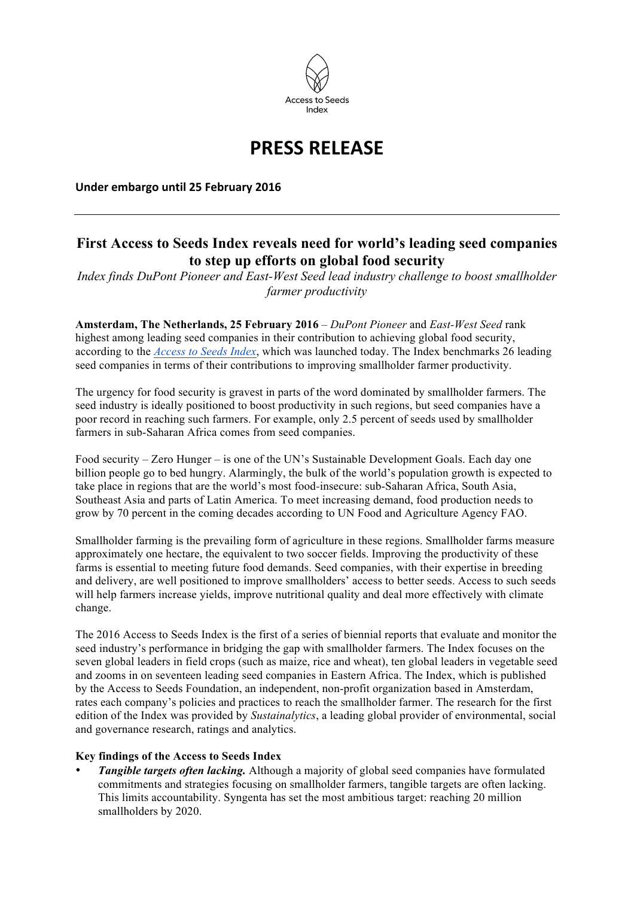

# **PRESS RELEASE**

**Under embargo until 25 February 2016** 

## **First Access to Seeds Index reveals need for world's leading seed companies to step up efforts on global food security**

*Index finds DuPont Pioneer and East-West Seed lead industry challenge to boost smallholder farmer productivity*

**Amsterdam, The Netherlands, 25 February 2016** *– DuPont Pioneer* and *East-West Seed* rank highest among leading seed companies in their contribution to achieving global food security, according to the *[Access to Seeds Index](http://www.accesstoseeds.org)*, which was launched today. The Index benchmarks 26 leading seed companies in terms of their contributions to improving smallholder farmer productivity.

The urgency for food security is gravest in parts of the word dominated by smallholder farmers. The seed industry is ideally positioned to boost productivity in such regions, but seed companies have a poor record in reaching such farmers. For example, only 2.5 percent of seeds used by smallholder farmers in sub-Saharan Africa comes from seed companies.

Food security – Zero Hunger – is one of the UN's Sustainable Development Goals. Each day one billion people go to bed hungry. Alarmingly, the bulk of the world's population growth is expected to take place in regions that are the world's most food-insecure: sub-Saharan Africa, South Asia, Southeast Asia and parts of Latin America. To meet increasing demand, food production needs to grow by 70 percent in the coming decades according to UN Food and Agriculture Agency FAO.

Smallholder farming is the prevailing form of agriculture in these regions. Smallholder farms measure approximately one hectare, the equivalent to two soccer fields. Improving the productivity of these farms is essential to meeting future food demands. Seed companies, with their expertise in breeding and delivery, are well positioned to improve smallholders' access to better seeds. Access to such seeds will help farmers increase yields, improve nutritional quality and deal more effectively with climate change.

The 2016 Access to Seeds Index is the first of a series of biennial reports that evaluate and monitor the seed industry's performance in bridging the gap with smallholder farmers. The Index focuses on the seven global leaders in field crops (such as maize, rice and wheat), ten global leaders in vegetable seed and zooms in on seventeen leading seed companies in Eastern Africa. The Index, which is published by the Access to Seeds Foundation, an independent, non-profit organization based in Amsterdam, rates each company's policies and practices to reach the smallholder farmer. The research for the first edition of the Index was provided by *Sustainalytics*, a leading global provider of environmental, social and governance research, ratings and analytics.

#### **Key findings of the Access to Seeds Index**

*Tangible targets often lacking.* Although a majority of global seed companies have formulated commitments and strategies focusing on smallholder farmers, tangible targets are often lacking. This limits accountability. Syngenta has set the most ambitious target: reaching 20 million smallholders by 2020.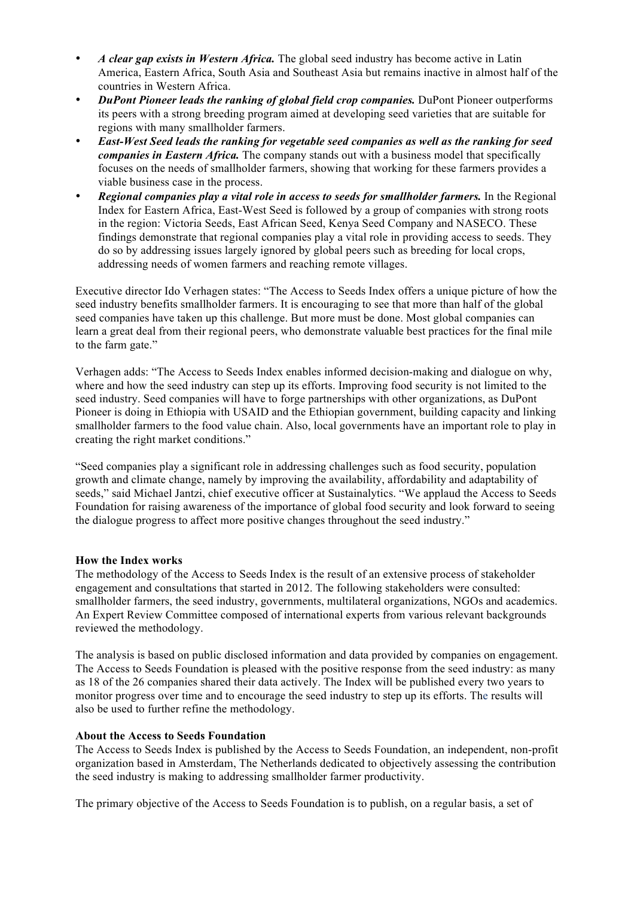- *A clear gap exists in Western Africa.* The global seed industry has become active in Latin America, Eastern Africa, South Asia and Southeast Asia but remains inactive in almost half of the countries in Western Africa.
- *DuPont Pioneer leads the ranking of global field crop companies.* DuPont Pioneer outperforms its peers with a strong breeding program aimed at developing seed varieties that are suitable for regions with many smallholder farmers.
- *East-West Seed leads the ranking for vegetable seed companies as well as the ranking for seed companies in Eastern Africa.* The company stands out with a business model that specifically focuses on the needs of smallholder farmers, showing that working for these farmers provides a viable business case in the process.
- *Regional companies play a vital role in access to seeds for smallholder farmers.* In the Regional Index for Eastern Africa, East-West Seed is followed by a group of companies with strong roots in the region: Victoria Seeds, East African Seed, Kenya Seed Company and NASECO. These findings demonstrate that regional companies play a vital role in providing access to seeds. They do so by addressing issues largely ignored by global peers such as breeding for local crops, addressing needs of women farmers and reaching remote villages.

Executive director Ido Verhagen states: "The Access to Seeds Index offers a unique picture of how the seed industry benefits smallholder farmers. It is encouraging to see that more than half of the global seed companies have taken up this challenge. But more must be done. Most global companies can learn a great deal from their regional peers, who demonstrate valuable best practices for the final mile to the farm gate."

Verhagen adds: "The Access to Seeds Index enables informed decision-making and dialogue on why, where and how the seed industry can step up its efforts. Improving food security is not limited to the seed industry. Seed companies will have to forge partnerships with other organizations, as DuPont Pioneer is doing in Ethiopia with USAID and the Ethiopian government, building capacity and linking smallholder farmers to the food value chain. Also, local governments have an important role to play in creating the right market conditions."

"Seed companies play a significant role in addressing challenges such as food security, population growth and climate change, namely by improving the availability, affordability and adaptability of seeds," said Michael Jantzi, chief executive officer at Sustainalytics. "We applaud the Access to Seeds Foundation for raising awareness of the importance of global food security and look forward to seeing the dialogue progress to affect more positive changes throughout the seed industry."

### **How the Index works**

The methodology of the Access to Seeds Index is the result of an extensive process of stakeholder engagement and consultations that started in 2012. The following stakeholders were consulted: smallholder farmers, the seed industry, governments, multilateral organizations, NGOs and academics. An Expert Review Committee composed of international experts from various relevant backgrounds reviewed the methodology.

The analysis is based on public disclosed information and data provided by companies on engagement. The Access to Seeds Foundation is pleased with the positive response from the seed industry: as many as 18 of the 26 companies shared their data actively. The Index will be published every two years to monitor progress over time and to encourage the seed industry to step up its efforts. The results will also be used to further refine the methodology.

#### **About the Access to Seeds Foundation**

The Access to Seeds Index is published by the Access to Seeds Foundation, an independent, non-profit organization based in Amsterdam, The Netherlands dedicated to objectively assessing the contribution the seed industry is making to addressing smallholder farmer productivity.

The primary objective of the Access to Seeds Foundation is to publish, on a regular basis, a set of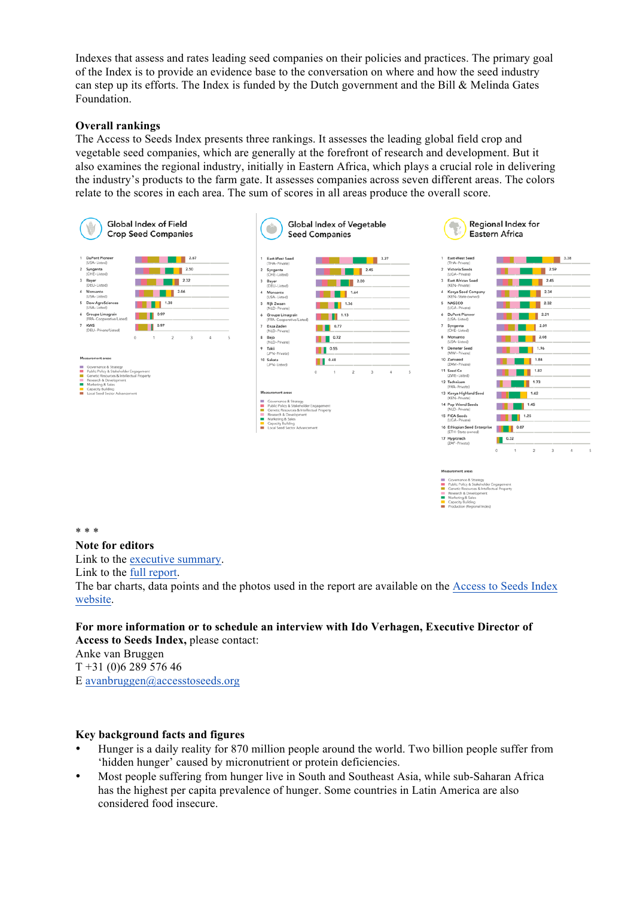Indexes that assess and rates leading seed companies on their policies and practices. The primary goal of the Index is to provide an evidence base to the conversation on where and how the seed industry can step up its efforts. The Index is funded by the Dutch government and the Bill & Melinda Gates Foundation.

#### **Overall rankings**

The Access to Seeds Index presents three rankings. It assesses the leading global field crop and vegetable seed companies, which are generally at the forefront of research and development. But it also examines the regional industry, initially in Eastern Africa, which plays a crucial role in delivering the industry's products to the farm gate. It assesses companies across seven different areas. The colors relate to the scores in each area. The sum of scores in all areas produce the overall score.



c miscu<br>ch & De<br>ing & Sa

#### \* \* \*

**Note for editors**

Link to the [executive summary.](http://www.accesstoseeds.org/downloads/executive-summary-2016-english.pdf)

Link to the [full report.](http://www.accesstoseeds.org/downloads/index-report-2016.pdf)

The bar charts, data points and the photos used in the report are available on the [Access to Seeds Index](http://www.accesstoseeds.org/resource-library/media-toolkit/)  [website.](http://www.accesstoseeds.org/resource-library/media-toolkit/)

#### **For more information or to schedule an interview with Ido Verhagen, Executive Director of Access to Seeds Index,** please contact:

Anke van Bruggen T +31 (0)6 289 576 46 E [avanbruggen@accesstoseeds.org](mailto:avanbruggen@accesstoseeds.org)

#### **Key background facts and figures**

- Hunger is a daily reality for 870 million people around the world. Two billion people suffer from 'hidden hunger' caused by micronutrient or protein deficiencies.
- Most people suffering from hunger live in South and Southeast Asia, while sub-Saharan Africa has the highest per capita prevalence of hunger. Some countries in Latin America are also considered food insecure.